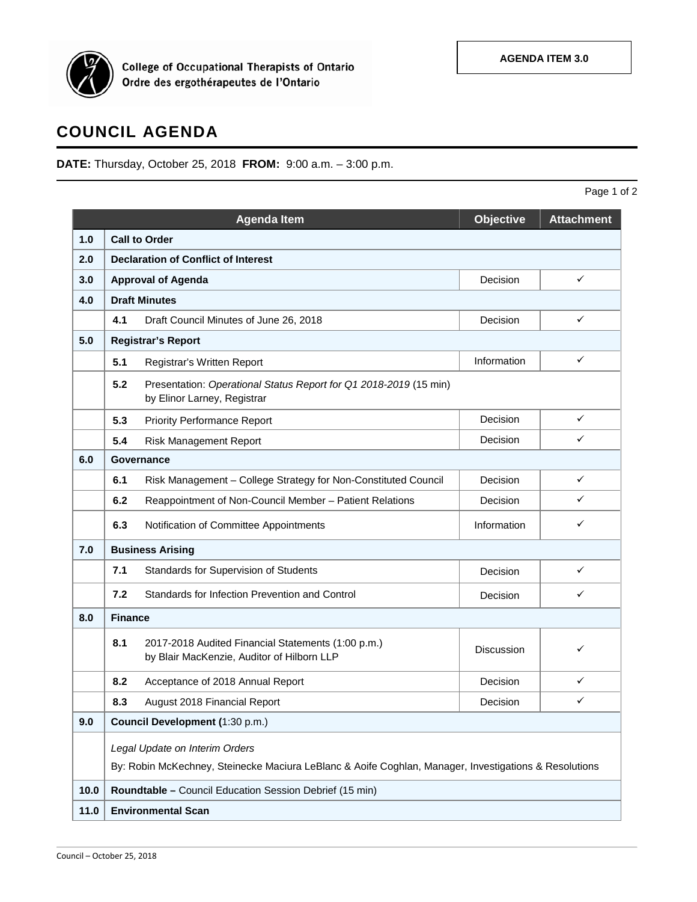

College of Occupational Therapists of Ontario<br>Ordre des ergothérapeutes de l'Ontario

## **COUNCIL AGENDA**

**DATE:** Thursday, October 25, 2018 **FROM:** 9:00 a.m. – 3:00 p.m.

Page 1 of 2

|      |                                                                                                                                         | <b>Agenda Item</b>                                                                               | <b>Objective</b>  | <b>Attachment</b> |  |  |  |
|------|-----------------------------------------------------------------------------------------------------------------------------------------|--------------------------------------------------------------------------------------------------|-------------------|-------------------|--|--|--|
| 1.0  | <b>Call to Order</b>                                                                                                                    |                                                                                                  |                   |                   |  |  |  |
| 2.0  | <b>Declaration of Conflict of Interest</b>                                                                                              |                                                                                                  |                   |                   |  |  |  |
| 3.0  | <b>Approval of Agenda</b>                                                                                                               |                                                                                                  | Decision          | $\checkmark$      |  |  |  |
| 4.0  | <b>Draft Minutes</b>                                                                                                                    |                                                                                                  |                   |                   |  |  |  |
|      | 4.1                                                                                                                                     | Draft Council Minutes of June 26, 2018                                                           | Decision          | ✓                 |  |  |  |
| 5.0  | <b>Registrar's Report</b>                                                                                                               |                                                                                                  |                   |                   |  |  |  |
|      | 5.1                                                                                                                                     | Registrar's Written Report                                                                       | Information       | ✓                 |  |  |  |
|      | 5.2<br>Presentation: Operational Status Report for Q1 2018-2019 (15 min)<br>by Elinor Larney, Registrar                                 |                                                                                                  |                   |                   |  |  |  |
|      | 5.3                                                                                                                                     | <b>Priority Performance Report</b>                                                               | Decision          | $\checkmark$      |  |  |  |
|      | 5.4                                                                                                                                     | <b>Risk Management Report</b>                                                                    | Decision          | ✓                 |  |  |  |
| 6.0  |                                                                                                                                         | Governance                                                                                       |                   |                   |  |  |  |
|      | 6.1                                                                                                                                     | Risk Management - College Strategy for Non-Constituted Council                                   | Decision          | ✓                 |  |  |  |
|      | 6.2                                                                                                                                     | Reappointment of Non-Council Member - Patient Relations                                          | Decision          | ✓                 |  |  |  |
|      | 6.3                                                                                                                                     | Notification of Committee Appointments                                                           | Information       | ✓                 |  |  |  |
| 7.0  | <b>Business Arising</b>                                                                                                                 |                                                                                                  |                   |                   |  |  |  |
|      | 7.1                                                                                                                                     | Standards for Supervision of Students                                                            | Decision          | ✓                 |  |  |  |
|      | 7.2                                                                                                                                     | Standards for Infection Prevention and Control                                                   | Decision          | ✓                 |  |  |  |
| 8.0  |                                                                                                                                         | <b>Finance</b>                                                                                   |                   |                   |  |  |  |
|      | 8.1                                                                                                                                     | 2017-2018 Audited Financial Statements (1:00 p.m.)<br>by Blair MacKenzie, Auditor of Hilborn LLP | <b>Discussion</b> | ✓                 |  |  |  |
|      | 8.2                                                                                                                                     | Acceptance of 2018 Annual Report                                                                 | Decision          | ✓                 |  |  |  |
|      | 8.3                                                                                                                                     | August 2018 Financial Report                                                                     | Decision          | ✓                 |  |  |  |
| 9.0  |                                                                                                                                         | Council Development (1:30 p.m.)                                                                  |                   |                   |  |  |  |
|      | Legal Update on Interim Orders<br>By: Robin McKechney, Steinecke Maciura LeBlanc & Aoife Coghlan, Manager, Investigations & Resolutions |                                                                                                  |                   |                   |  |  |  |
| 10.0 | Roundtable - Council Education Session Debrief (15 min)                                                                                 |                                                                                                  |                   |                   |  |  |  |
| 11.0 | <b>Environmental Scan</b>                                                                                                               |                                                                                                  |                   |                   |  |  |  |